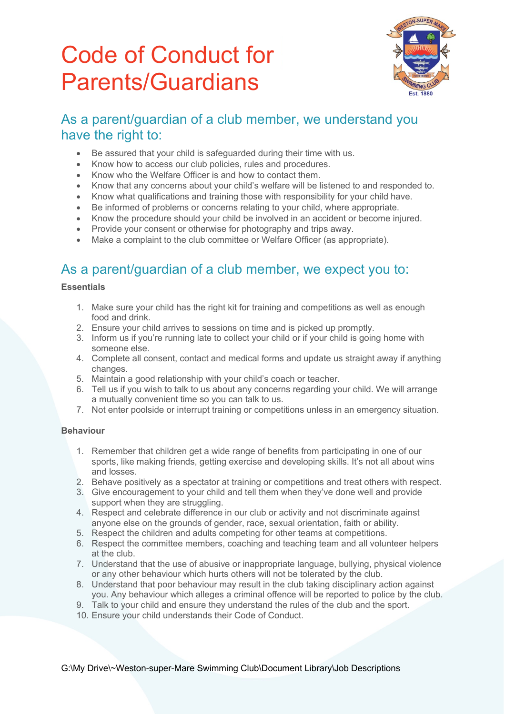# Code of Conduct for Parents/Guardians



## As a parent/guardian of a club member, we understand you have the right to:

- Be assured that your child is safeguarded during their time with us.
- Know how to access our club policies, rules and procedures.
- Know who the Welfare Officer is and how to contact them.
- Know that any concerns about your child's welfare will be listened to and responded to.
- Know what qualifications and training those with responsibility for your child have.
- Be informed of problems or concerns relating to your child, where appropriate.
- Know the procedure should your child be involved in an accident or become injured.
- Provide your consent or otherwise for photography and trips away.
- Make a complaint to the club committee or Welfare Officer (as appropriate).

## As a parent/guardian of a club member, we expect you to:

### **Essentials**

- 1. Make sure your child has the right kit for training and competitions as well as enough food and drink.
- 2. Ensure your child arrives to sessions on time and is picked up promptly.
- 3. Inform us if you're running late to collect your child or if your child is going home with someone else.
- 4. Complete all consent, contact and medical forms and update us straight away if anything changes.
- 5. Maintain a good relationship with your child's coach or teacher.
- 6. Tell us if you wish to talk to us about any concerns regarding your child. We will arrange a mutually convenient time so you can talk to us.
- 7. Not enter poolside or interrupt training or competitions unless in an emergency situation.

#### **Behaviour**

- 1. Remember that children get a wide range of benefits from participating in one of our sports, like making friends, getting exercise and developing skills. It's not all about wins and losses.
- 2. Behave positively as a spectator at training or competitions and treat others with respect.
- 3. Give encouragement to your child and tell them when they've done well and provide support when they are struggling.
- 4. Respect and celebrate difference in our club or activity and not discriminate against anyone else on the grounds of gender, race, sexual orientation, faith or ability.
- 5. Respect the children and adults competing for other teams at competitions.
- 6. Respect the committee members, coaching and teaching team and all volunteer helpers at the club.
- 7. Understand that the use of abusive or inappropriate language, bullying, physical violence or any other behaviour which hurts others will not be tolerated by the club.
- 8. Understand that poor behaviour may result in the club taking disciplinary action against you. Any behaviour which alleges a criminal offence will be reported to police by the club.
- 9. Talk to your child and ensure they understand the rules of the club and the sport.
- 10. Ensure your child understands their Code of Conduct.